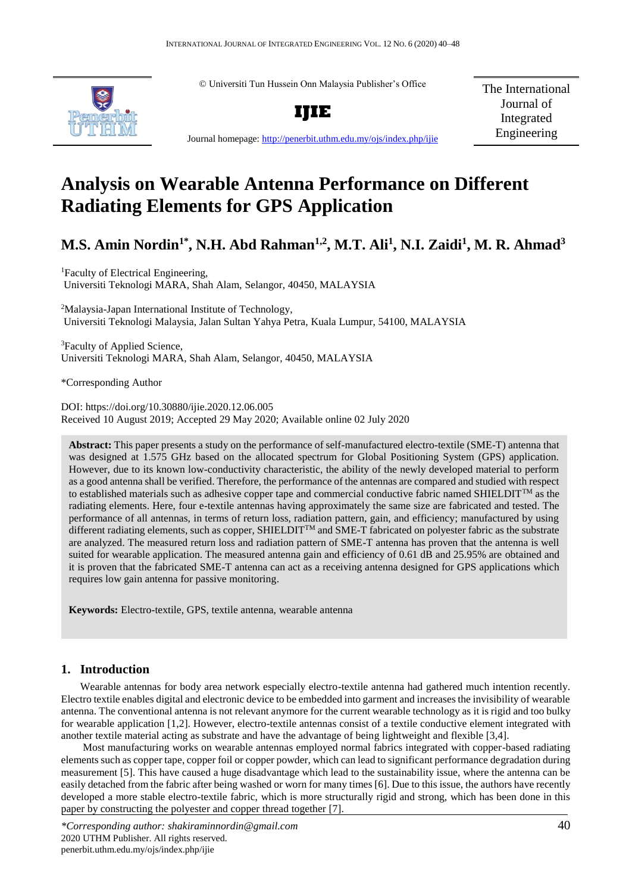© Universiti Tun Hussein Onn Malaysia Publisher's Office



**IJIE**

The International Journal of Integrated Engineering

Journal homepage:<http://penerbit.uthm.edu.my/ojs/index.php/ijie>

# **Analysis on Wearable Antenna Performance on Different Radiating Elements for GPS Application**

# **M.S. Amin Nordin1\* , N.H. Abd Rahman1,2 , M.T. Ali<sup>1</sup> , N.I. Zaidi<sup>1</sup> , M. R. Ahmad<sup>3</sup>**

<sup>1</sup>Faculty of Electrical Engineering, Universiti Teknologi MARA, Shah Alam, Selangor, 40450, MALAYSIA

<sup>2</sup>Malaysia-Japan International Institute of Technology, Universiti Teknologi Malaysia, Jalan Sultan Yahya Petra, Kuala Lumpur, 54100, MALAYSIA

<sup>3</sup>Faculty of Applied Science, Universiti Teknologi MARA, Shah Alam, Selangor, 40450, MALAYSIA

\*Corresponding Author

DOI: https://doi.org/10.30880/ijie.2020.12.06.005 Received 10 August 2019; Accepted 29 May 2020; Available online 02 July 2020

**Abstract:** This paper presents a study on the performance of self-manufactured electro-textile (SME-T) antenna that was designed at 1.575 GHz based on the allocated spectrum for Global Positioning System (GPS) application. However, due to its known low-conductivity characteristic, the ability of the newly developed material to perform as a good antenna shall be verified. Therefore, the performance of the antennas are compared and studied with respect to established materials such as adhesive copper tape and commercial conductive fabric named SHIELDIT<sup>TM</sup> as the radiating elements. Here, four e-textile antennas having approximately the same size are fabricated and tested. The performance of all antennas, in terms of return loss, radiation pattern, gain, and efficiency; manufactured by using different radiating elements, such as copper, SHIELDIT<sup>TM</sup> and SME-T fabricated on polyester fabric as the substrate are analyzed. The measured return loss and radiation pattern of SME-T antenna has proven that the antenna is well suited for wearable application. The measured antenna gain and efficiency of 0.61 dB and 25.95% are obtained and it is proven that the fabricated SME-T antenna can act as a receiving antenna designed for GPS applications which requires low gain antenna for passive monitoring.

**Keywords:** Electro-textile, GPS, textile antenna, wearable antenna

# **1. Introduction**

Wearable antennas for body area network especially electro-textile antenna had gathered much intention recently. Electro textile enables digital and electronic device to be embedded into garment and increases the invisibility of wearable antenna. The conventional antenna is not relevant anymore for the current wearable technology as it is rigid and too bulky for wearable application [1,2]. However, electro-textile antennas consist of a textile conductive element integrated with another textile material acting as substrate and have the advantage of being lightweight and flexible [3,4].

Most manufacturing works on wearable antennas employed normal fabrics integrated with copper-based radiating elements such as copper tape, copper foil or copper powder, which can lead to significant performance degradation during measurement [5]. This have caused a huge disadvantage which lead to the sustainability issue, where the antenna can be easily detached from the fabric after being washed or worn for many times [6]. Due to this issue, the authors have recently developed a more stable electro-textile fabric, which is more structurally rigid and strong, which has been done in this paper by constructing the polyester and copper thread together [7].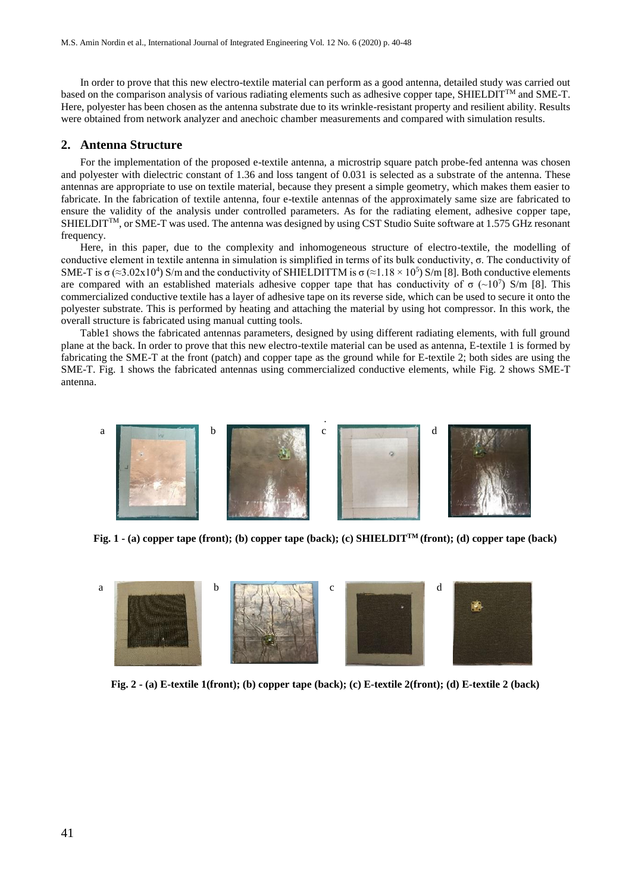In order to prove that this new electro-textile material can perform as a good antenna, detailed study was carried out based on the comparison analysis of various radiating elements such as adhesive copper tape, SHIELDITTM and SME-T. Here, polyester has been chosen as the antenna substrate due to its wrinkle-resistant property and resilient ability. Results were obtained from network analyzer and anechoic chamber measurements and compared with simulation results.

#### **2. Antenna Structure**

For the implementation of the proposed e-textile antenna, a microstrip square patch probe-fed antenna was chosen and polyester with dielectric constant of 1.36 and loss tangent of 0.031 is selected as a substrate of the antenna. These antennas are appropriate to use on textile material, because they present a simple geometry, which makes them easier to fabricate. In the fabrication of textile antenna, four e-textile antennas of the approximately same size are fabricated to ensure the validity of the analysis under controlled parameters. As for the radiating element, adhesive copper tape, SHIELDIT<sup>TM</sup>, or SME-T was used. The antenna was designed by using CST Studio Suite software at 1.575 GHz resonant frequency.

Here, in this paper, due to the complexity and inhomogeneous structure of electro-textile, the modelling of conductive element in textile antenna in simulation is simplified in terms of its bulk conductivity, σ. The conductivity of SME-T is  $\sigma \approx 0.02 \times 10^4$ ) S/m and the conductivity of SHIELDITTM is  $\sigma \approx 1.18 \times 10^5$ ) S/m [8]. Both conductive elements are compared with an established materials adhesive copper tape that has conductivity of  $\sigma$  (~10<sup>7</sup>) S/m [8]. This commercialized conductive textile has a layer of adhesive tape on its reverse side, which can be used to secure it onto the polyester substrate. This is performed by heating and attaching the material by using hot compressor. In this work, the overall structure is fabricated using manual cutting tools.

Table1 shows the fabricated antennas parameters, designed by using different radiating elements, with full ground plane at the back. In order to prove that this new electro-textile material can be used as antenna, E-textile 1 is formed by fabricating the SME-T at the front (patch) and copper tape as the ground while for E-textile 2; both sides are using the SME-T. Fig. 1 shows the fabricated antennas using commercialized conductive elements, while Fig. 2 shows SME-T antenna.



**Fig. 1 - (a) copper tape (front); (b) copper tape (back); (c) SHIELDITTM (front); (d) copper tape (back)**



**Fig. 2 - (a) E-textile 1(front); (b) copper tape (back); (c) E-textile 2(front); (d) E-textile 2 (back)**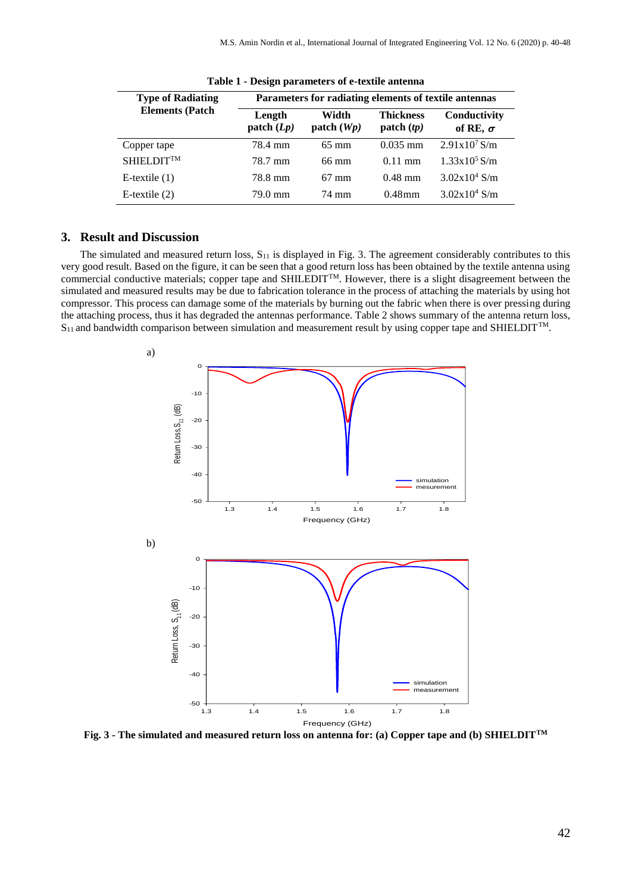| <b>Type of Radiating</b> | Parameters for radiating elements of textile antennas |                    |                                |                                 |  |  |
|--------------------------|-------------------------------------------------------|--------------------|--------------------------------|---------------------------------|--|--|
| <b>Elements (Patch</b>   | Length<br>patch $(Lp)$                                | Width<br>patch(Wp) | <b>Thickness</b><br>patch (tp) | Conductivity<br>of RE, $\sigma$ |  |  |
| Copper tape              | 78.4 mm                                               | $65 \text{ mm}$    | $0.035$ mm                     | $2.91x10^7$ S/m                 |  |  |
| $SHIELDIT^{TM}$          | 78.7 mm                                               | 66 mm              | $0.11 \text{ mm}$              | $1.33x10^5$ S/m                 |  |  |
| E-textile $(1)$          | 78.8 mm                                               | $67 \text{ mm}$    | $0.48$ mm                      | $3.02x10^4$ S/m                 |  |  |
| E-textile (2)            | 79.0 mm                                               | 74 mm              | $0.48$ mm                      | $3.02x10^4$ S/m                 |  |  |
|                          |                                                       |                    |                                |                                 |  |  |

**Table 1 - Design parameters of e-textile antenna**

## **3. Result and Discussion**

The simulated and measured return loss,  $S_{11}$  is displayed in Fig. 3. The agreement considerably contributes to this very good result. Based on the figure, it can be seen that a good return loss has been obtained by the textile antenna using commercial conductive materials; copper tape and SHILEDIT<sup>TM</sup>. However, there is a slight disagreement between the simulated and measured results may be due to fabrication tolerance in the process of attaching the materials by using hot compressor. This process can damage some of the materials by burning out the fabric when there is over pressing during the attaching process, thus it has degraded the antennas performance. Table 2 shows summary of the antenna return loss,  $S_{11}$  and bandwidth comparison between simulation and measurement result by using copper tape and SHIELDIT<sup>TM</sup>.



**Fig. 3 - The simulated and measured return loss on antenna for: (a) Copper tape and (b) SHIELDITTM**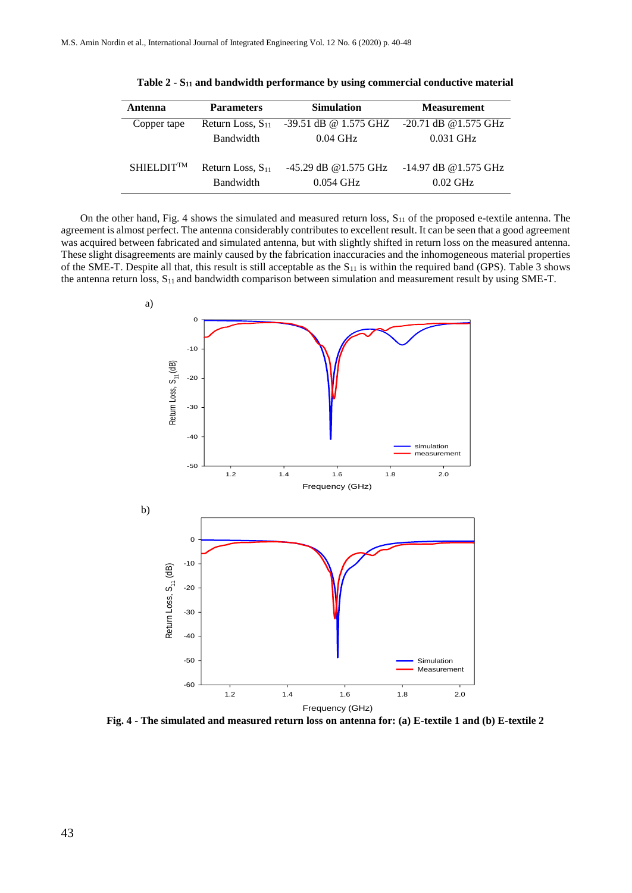| Antenna                      | <b>Parameters</b>                         | <b>Simulation</b>                               | <b>Measurement</b>                    |
|------------------------------|-------------------------------------------|-------------------------------------------------|---------------------------------------|
| Copper tape                  | Return Loss, $S_{11}$                     | $-39.51$ dB @ 1.575 GHZ $-20.71$ dB @ 1.575 GHz |                                       |
|                              | <b>Bandwidth</b>                          | $0.04$ GHz                                      | $0.031$ GHz                           |
| <b>SHIELDIT<sup>TM</sup></b> | Return Loss, $S_{11}$<br><b>Bandwidth</b> | -45.29 dB @1.575 GHz<br>$0.054$ GHz             | $-14.97$ dB @ 1.575 GHz<br>$0.02$ GHz |

**Table 2 - S<sup>11</sup> and bandwidth performance by using commercial conductive material**

On the other hand, Fig. 4 shows the simulated and measured return loss,  $S_{11}$  of the proposed e-textile antenna. The agreement is almost perfect. The antenna considerably contributes to excellent result. It can be seen that a good agreement was acquired between fabricated and simulated antenna, but with slightly shifted in return loss on the measured antenna. These slight disagreements are mainly caused by the fabrication inaccuracies and the inhomogeneous material properties of the SME-T. Despite all that, this result is still acceptable as the  $S_{11}$  is within the required band (GPS). Table 3 shows the antenna return loss, S<sub>11</sub> and bandwidth comparison between simulation and measurement result by using SME-T.



**Fig. 4 - The simulated and measured return loss on antenna for: (a) E-textile 1 and (b) E-textile 2**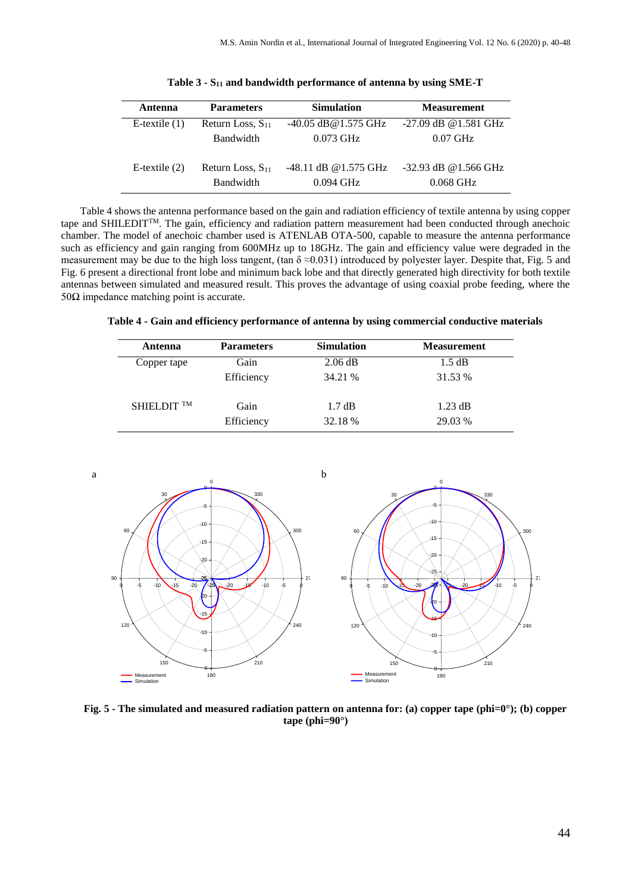| Antenna         | <b>Parameters</b>     | <b>Simulation</b>       | <b>Measurement</b>      |
|-----------------|-----------------------|-------------------------|-------------------------|
| E-textile $(1)$ | Return Loss, $S_{11}$ | $-40.05$ dB @ 1.575 GHz | $-27.09$ dB @1.581 GHz  |
|                 | <b>Bandwidth</b>      | $0.073$ GHz             | $0.07$ GHz              |
| E-textile $(2)$ | Return Loss, $S_{11}$ | $-48.11$ dB @1.575 GHz  | $-32.93$ dB @ 1.566 GHz |
|                 | <b>Bandwidth</b>      | $0.094$ GHz             | $0.068$ GHz             |

Table 4 shows the antenna performance based on the gain and radiation efficiency of textile antenna by using copper tape and SHILEDITTM. The gain, efficiency and radiation pattern measurement had been conducted through anechoic chamber. The model of anechoic chamber used is ATENLAB OTA-500, capable to measure the antenna performance such as efficiency and gain ranging from 600MHz up to 18GHz. The gain and efficiency value were degraded in the measurement may be due to the high loss tangent, (tan  $\delta \approx 0.031$ ) introduced by polyester layer. Despite that, Fig. 5 and Fig. 6 present a directional front lobe and minimum back lobe and that directly generated high directivity for both textile antennas between simulated and measured result. This proves the advantage of using coaxial probe feeding, where the  $50Ω$  impedance matching point is accurate.

**Table 4 - Gain and efficiency performance of antenna by using commercial conductive materials**

| Antenna       | <b>Parameters</b> | <b>Simulation</b> | <b>Measurement</b> |
|---------------|-------------------|-------------------|--------------------|
| Copper tape   | Gain              | $2.06$ dB         | $1.5 \text{ dB}$   |
|               | Efficiency        | 34.21 %           | 31.53 %            |
| SHIELDIT $TM$ | Gain              | $1.7 \text{ dB}$  | $1.23$ dB          |
|               | Efficiency        | 32.18 %           | 29.03 %            |



**Fig. 5 - The simulated and measured radiation pattern on antenna for: (a) copper tape (phi=0°); (b) copper tape (phi=90°)**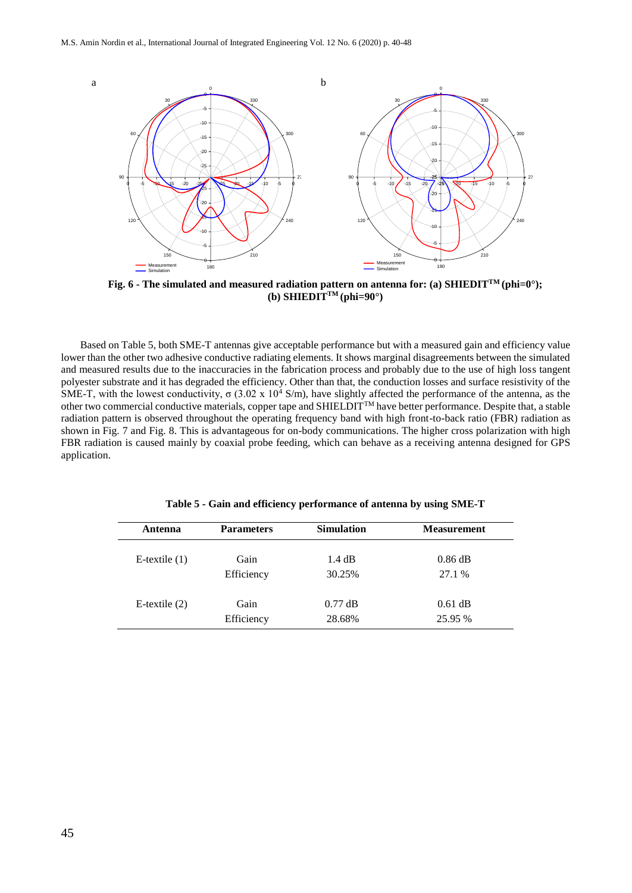a



**Fig. 6 - The simulated and measured radiation pattern on antenna for: (a) SHIEDITTM (phi=0°);**  $$ 

Based on Table 5, both SME-T antennas give acceptable performance but with a measured gain and efficiency value lower than the other two adhesive conductive radiating elements. It shows marginal disagreements between the simulated and measured results due to the inaccuracies in the fabrication process and probably due to the use of high loss tangent polyester substrate and it has degraded the efficiency. Other than that, the conduction losses and surface resistivity of the SME-T, with the lowest conductivity,  $\sigma$  (3.02 x 10<sup>4</sup> S/m), have slightly affected the performance of the antenna, as the other two commercial conductive materials, copper tape and SHIELDITTM have better performance. Despite that, a stable radiation pattern is observed throughout the operating frequency band with high front-to-back ratio (FBR) radiation as shown in Fig. 7 and Fig. 8. This is advantageous for on-body communications. The higher cross polarization with high FBR radiation is caused mainly by coaxial probe feeding, which can behave as a receiving antenna designed for GPS application.

| Antenna         | <b>Parameters</b> | <b>Simulation</b> | <b>Measurement</b> |
|-----------------|-------------------|-------------------|--------------------|
| E-textile $(1)$ | Gain              | $1.4 \text{ dB}$  | $0.86$ dB          |
|                 | Efficiency        | 30.25%            | 27.1 %             |
| E-textile $(2)$ | Gain              | $0.77$ dB         | $0.61$ dB          |
|                 | Efficiency        | 28.68%            | 25.95 %            |

**Table 5 - Gain and efficiency performance of antenna by using SME-T**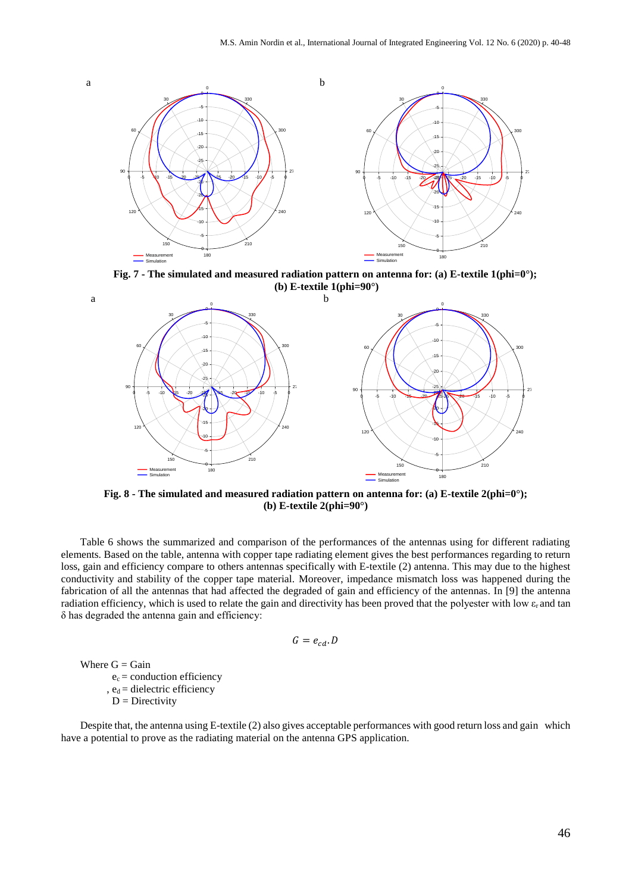

**Fig. 7 - The simulated and measured radiation pattern on antenna for: (a) E-textile 1(phi=0°); (b) E-textile 1(phi=90°)**



**Fig. 8 - The simulated and measured radiation pattern on antenna for: (a) E-textile 2(phi=0°); (b) E-textile 2(phi=90°)**

Table 6 shows the summarized and comparison of the performances of the antennas using for different radiating elements. Based on the table, antenna with copper tape radiating element gives the best performances regarding to return loss, gain and efficiency compare to others antennas specifically with E-textile (2) antenna. This may due to the highest conductivity and stability of the copper tape material. Moreover, impedance mismatch loss was happened during the fabrication of all the antennas that had affected the degraded of gain and efficiency of the antennas. In [9] the antenna radiation efficiency, which is used to relate the gain and directivity has been proved that the polyester with low  $\varepsilon_r$  and tan δ has degraded the antenna gain and efficiency:

$$
G=e_{cd}.D
$$

Where  $G = G$ ain  $e_c$  = conduction efficiency

a

a

,  $e_d$  = dielectric efficiency

 $D =$  Directivity

Despite that, the antenna using E-textile (2) also gives acceptable performances with good return loss and gain which have a potential to prove as the radiating material on the antenna GPS application.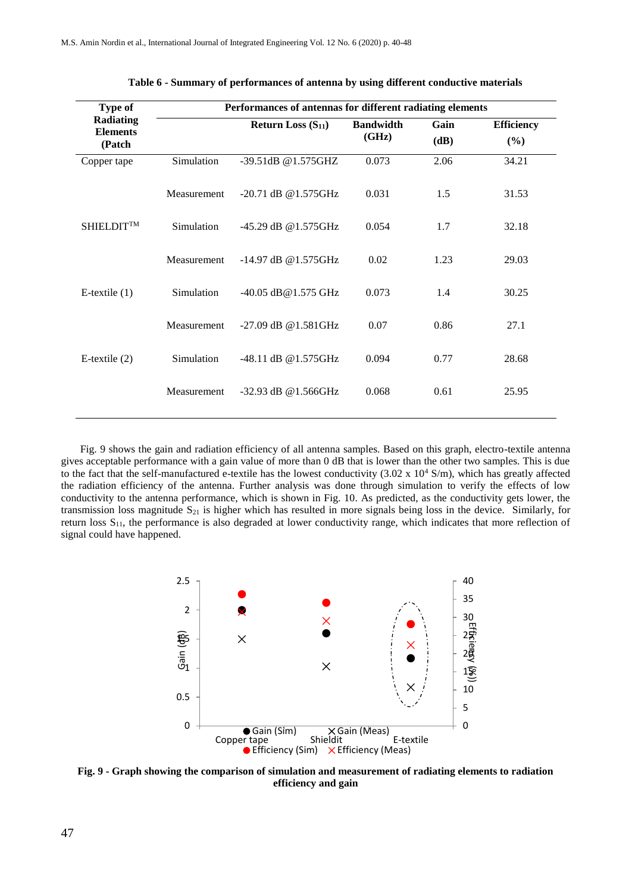| <b>Type of</b>               | Performances of antennas for different radiating elements |                        |                  |      |                   |  |
|------------------------------|-----------------------------------------------------------|------------------------|------------------|------|-------------------|--|
| Radiating<br><b>Elements</b> |                                                           | Return Loss $(S_{11})$ | <b>Bandwidth</b> | Gain | <b>Efficiency</b> |  |
| (Patch                       |                                                           |                        | (GHz)            | (dB) | $(\%)$            |  |
| Copper tape                  | Simulation                                                | -39.51dB @1.575GHZ     | 0.073            | 2.06 | 34.21             |  |
|                              | Measurement                                               | $-20.71$ dB @1.575GHz  | 0.031            | 1.5  | 31.53             |  |
| <b>SHIELDIT<sup>TM</sup></b> | Simulation                                                | -45.29 dB @1.575GHz    | 0.054            | 1.7  | 32.18             |  |
|                              | Measurement                                               | $-14.97$ dB @1.575GHz  | 0.02             | 1.23 | 29.03             |  |
| E-textile $(1)$              | Simulation                                                | -40.05 dB@1.575 GHz    | 0.073            | 1.4  | 30.25             |  |
|                              | Measurement                                               | -27.09 dB @1.581GHz    | 0.07             | 0.86 | 27.1              |  |
| E-textile $(2)$              | Simulation                                                | -48.11 dB @1.575GHz    | 0.094            | 0.77 | 28.68             |  |
|                              | Measurement                                               | -32.93 dB @1.566GHz    | 0.068            | 0.61 | 25.95             |  |
|                              |                                                           |                        |                  |      |                   |  |

|  | Table 6 - Summary of performances of antenna by using different conductive materials |  |  |  |
|--|--------------------------------------------------------------------------------------|--|--|--|
|  |                                                                                      |  |  |  |

Fig. 9 shows the gain and radiation efficiency of all antenna samples. Based on this graph, electro-textile antenna gives acceptable performance with a gain value of more than 0 dB that is lower than the other two samples. This is due to the fact that the self-manufactured e-textile has the lowest conductivity  $(3.02 \times 10^4 \text{ S/m})$ , which has greatly affected the radiation efficiency of the antenna. Further analysis was done through simulation to verify the effects of low conductivity to the antenna performance, which is shown in Fig. 10. As predicted, as the conductivity gets lower, the transmission loss magnitude  $S_{21}$  is higher which has resulted in more signals being loss in the device. Similarly, for return loss S11, the performance is also degraded at lower conductivity range, which indicates that more reflection of signal could have happened.



**Fig. 9 - Graph showing the comparison of simulation and measurement of radiating elements to radiation efficiency and gain**